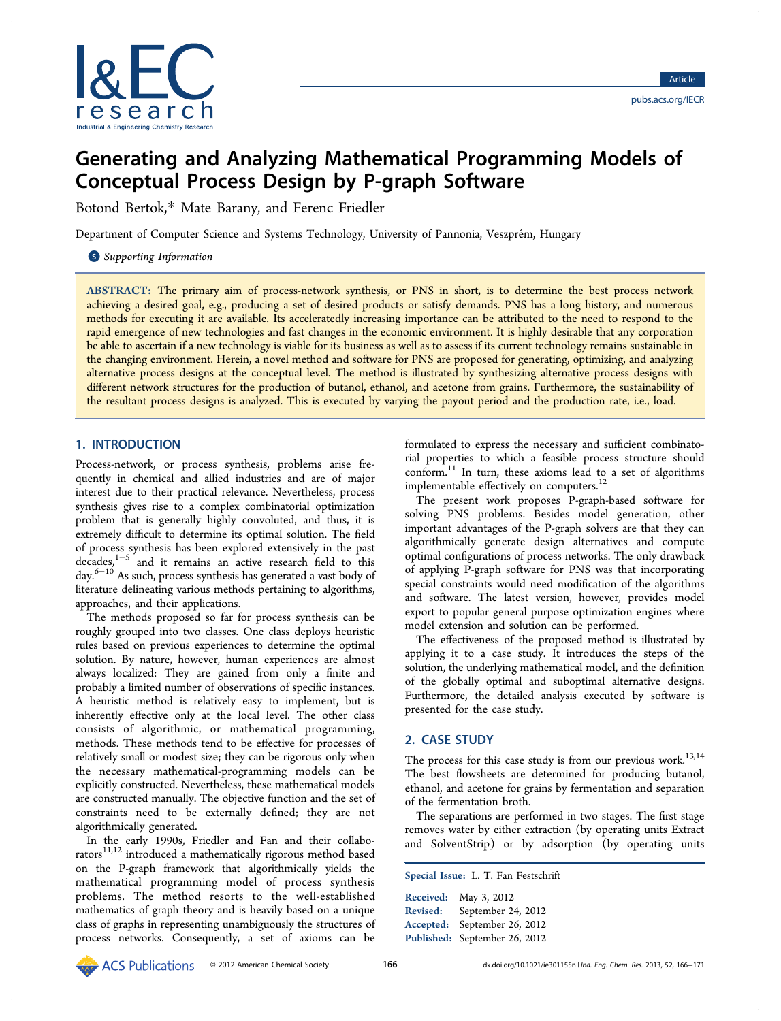

# Generating and Analyzing Mathematical Programming Models of Conceptual Process Design by P‑graph Software

Botond Bertok,\* Mate Barany, and Ferenc Friedler

Department of Co[mp](#page-4-0)uter Science and Systems Technology, University of Pannonia, Veszprém, Hungary

# **S** Supporting Information

[AB](#page-4-0)STRACT: [The primary](#page-4-0) aim of process-network synthesis, or PNS in short, is to determine the best process network achieving a desired goal, e.g., producing a set of desired products or satisfy demands. PNS has a long history, and numerous methods for executing it are available. Its acceleratedly increasing importance can be attributed to the need to respond to the rapid emergence of new technologies and fast changes in the economic environment. It is highly desirable that any corporation be able to ascertain if a new technology is viable for its business as well as to assess if its current technology remains sustainable in the changing environment. Herein, a novel method and software for PNS are proposed for generating, optimizing, and analyzing alternative process designs at the conceptual level. The method is illustrated by synthesizing alternative process designs with different network structures for the production of butanol, ethanol, and acetone from grains. Furthermore, the sustainability of the resultant process designs is analyzed. This is executed by varying the payout period and the production rate, i.e., load.

# 1. INTRODUCTION

Process-network, or process synthesis, problems arise frequently in chemical and allied industries and are of major interest due to their practical relevance. Nevertheless, process synthesis gives rise to a complex combinatorial optimization problem that is generally highly convoluted, and thus, it is extremely difficult to determine its optimal solution. The field of process synthesis has been explored extensively in the past decades,1−<sup>5</sup> and it remains an active research field to this day.<sup>6−10</sup> As such, process synthesis has generated a vast body of literatur[e](#page-4-0) [de](#page-4-0)lineating various methods pertaining to algorithms, app[roach](#page-4-0)es, and their applications.

The methods proposed so far for process synthesis can be roughly grouped into two classes. One class deploys heuristic rules based on previous experiences to determine the optimal solution. By nature, however, human experiences are almost always localized: They are gained from only a finite and probably a limited number of observations of specific instances. A heuristic method is relatively easy to implement, but is inherently effective only at the local level. The other class consists of algorithmic, or mathematical programming, methods. These methods tend to be effective for processes of relatively small or modest size; they can be rigorous only when the necessary mathematical-programming models can be explicitly constructed. Nevertheless, these mathematical models are constructed manually. The objective function and the set of constraints need to be externally defined; they are not algorithmically generated.

In the early 1990s, Friedler and Fan and their collaborators $11,12$  introduced a mathematically rigorous method based on the P-graph framework that algorithmically yields the math[emat](#page-4-0)ical programming model of process synthesis problems. The method resorts to the well-established mathematics of graph theory and is heavily based on a unique class of graphs in representing unambiguously the structures of process networks. Consequently, a set of axioms can be

formulated to express the necessary and sufficient combinatorial properties to which a feasible process structure should conform.<sup>11</sup> In turn, these axioms lead to a set of algorithms implementable effectively on computers.<sup>12</sup>

The [pre](#page-4-0)sent work proposes P-graph-based software for solving PNS problems. Besides mo[del](#page-4-0) generation, other important advantages of the P-graph solvers are that they can algorithmically generate design alternatives and compute optimal configurations of process networks. The only drawback of applying P-graph software for PNS was that incorporating special constraints would need modification of the algorithms and software. The latest version, however, provides model export to popular general purpose optimization engines where model extension and solution can be performed.

The effectiveness of the proposed method is illustrated by applying it to a case study. It introduces the steps of the solution, the underlying mathematical model, and the definition of the globally optimal and suboptimal alternative designs. Furthermore, the detailed analysis executed by software is presented for the case study.

# 2. CASE STUDY

The process for this case study is from our previous work.<sup>13,14</sup> The best flowsheets are determined for producing butanol, ethanol, and acetone for grains by fermentation and separ[ation](#page-4-0) of the fermentation broth.

The separations are performed in two stages. The first stage removes water by either extraction (by operating units Extract and SolventStrip) or by adsorption (by operating units

Special Issue: L. T. Fan Festschrift

| <b>Received:</b> | May 3, 2012                   |
|------------------|-------------------------------|
| <b>Revised:</b>  | September 24, 2012            |
|                  | Accepted: September 26, 2012  |
|                  | Published: September 26, 2012 |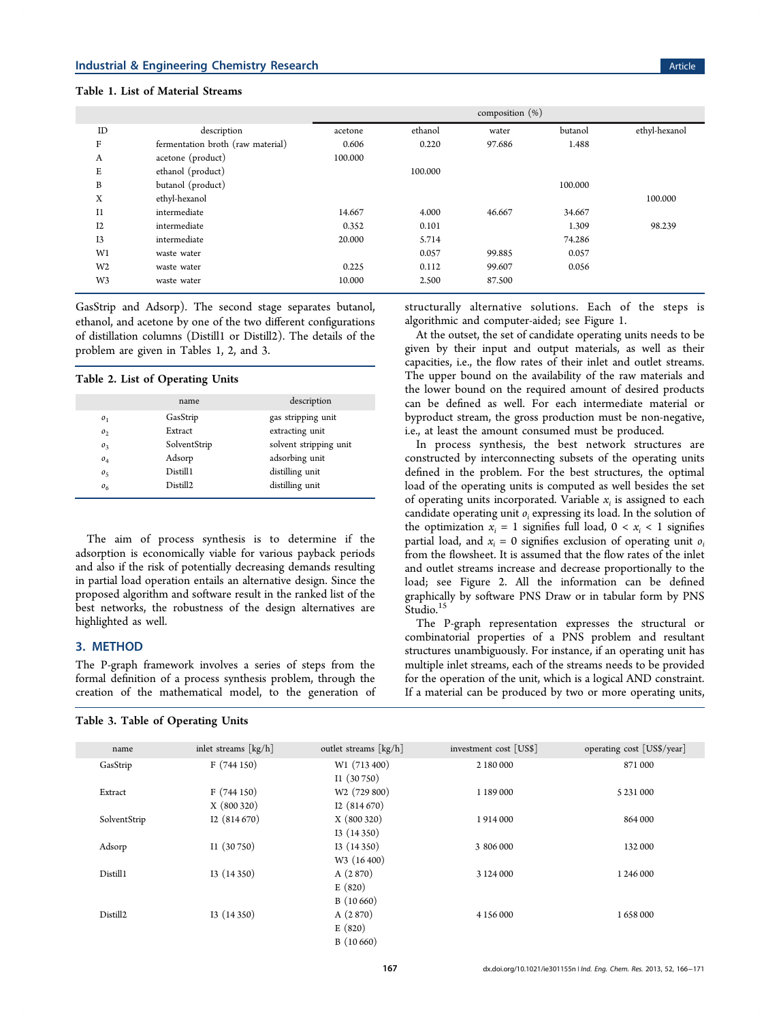#### Table 1. List of Material Streams

|                |                                   |         |         | composition $(\%)$ |         |               |
|----------------|-----------------------------------|---------|---------|--------------------|---------|---------------|
| ID             | description                       | acetone | ethanol | water              | butanol | ethyl-hexanol |
| F              | fermentation broth (raw material) | 0.606   | 0.220   | 97.686             | 1.488   |               |
| A              | acetone (product)                 | 100.000 |         |                    |         |               |
| E              | ethanol (product)                 |         | 100.000 |                    |         |               |
| B              | butanol (product)                 |         |         |                    | 100.000 |               |
| X              | ethyl-hexanol                     |         |         |                    |         | 100.000       |
| $_{\rm II}$    | intermediate                      | 14.667  | 4.000   | 46.667             | 34.667  |               |
| I2             | intermediate                      | 0.352   | 0.101   |                    | 1.309   | 98.239        |
| I3             | intermediate                      | 20.000  | 5.714   |                    | 74.286  |               |
| W1             | waste water                       |         | 0.057   | 99.885             | 0.057   |               |
| W <sub>2</sub> | waste water                       | 0.225   | 0.112   | 99.607             | 0.056   |               |
| W <sub>3</sub> | waste water                       | 10.000  | 2.500   | 87.500             |         |               |
|                |                                   |         |         |                    |         |               |

GasStrip and Adsorp). The second stage separates butanol, ethanol, and acetone by one of the two different configurations of distillation columns (Distill1 or Distill2). The details of the problem are given in Tables 1, 2, and 3.

#### Table 2. List of Operating Units

| name                  | description            |
|-----------------------|------------------------|
| GasStrip              | gas stripping unit     |
| Extract               | extracting unit        |
| SolventStrip          | solvent stripping unit |
| Adsorp                | adsorbing unit         |
| Distill1              | distilling unit        |
| Distil <sub>1</sub> 2 | distilling unit        |
|                       |                        |

The aim of process synthesis is to determine if the adsorption is economically viable for various payback periods and also if the risk of potentially decreasing demands resulting in partial load operation entails an alternative design. Since the proposed algorithm and software result in the ranked list of the best networks, the robustness of the design alternatives are highlighted as well.

## 3. METHOD

The P-graph framework involves a series of steps from the formal definition of a process synthesis problem, through the creation of the mathematical model, to the generation of

|  |  |  |  | Table 3. Table of Operating Units |  |
|--|--|--|--|-----------------------------------|--|
|--|--|--|--|-----------------------------------|--|

structurally alternative solutions. Each of the steps is algorithmic and computer-aided; see Figure 1.

At the outset, the set of candidate operating units needs to be given by their input and output materials[,](#page-2-0) as well as their capacities, i.e., the flow rates of their inlet and outlet streams. The upper bound on the availability of the raw materials and the lower bound on the required amount of desired products can be defined as well. For each intermediate material or byproduct stream, the gross production must be non-negative, i.e., at least the amount consumed must be produced.

In process synthesis, the best network structures are constructed by interconnecting subsets of the operating units defined in the problem. For the best structures, the optimal load of the operating units is computed as well besides the set of operating units incorporated. Variable  $x_i$  is assigned to each candidate operating unit  $o_i$  expressing its load. In the solution of the optimization  $x_i = 1$  signifies full load,  $0 < x_i < 1$  signifies partial load, and  $x_i = 0$  signifies exclusion of operating unit  $o_i$ from the flowsheet. It is assumed that the flow rates of the inlet and outlet streams increase and decrease proportionally to the load; see Figure 2. All the information can be defined graphically by software PNS Draw or in tabular form by PNS Studio.<sup>15</sup>

The P-graph re[p](#page-3-0)resentation expresses the structural or combi[nat](#page-4-0)orial properties of a PNS problem and resultant structures unambiguously. For instance, if an operating unit has multiple inlet streams, each of the streams needs to be provided for the operation of the unit, which is a logical AND constraint. If a material can be produced by two or more operating units,

| name         | inlet streams $\lceil \text{kg/h} \rceil$ | outlet streams $\lceil \text{kg/h} \rceil$ | investment cost [US\$] | operating cost [US\$/year] |
|--------------|-------------------------------------------|--------------------------------------------|------------------------|----------------------------|
| GasStrip     | F(744150)                                 | W1 (713 400)                               | 2 180 000              | 871 000                    |
|              |                                           | 11(30750)                                  |                        |                            |
| Extract      | F(744150)                                 | W <sub>2</sub> (729 800)                   | 1 189 000              | 5 2 3 1 0 0 0              |
|              | X (800 320)                               | I2 (814 670)                               |                        |                            |
| SolventStrip | I2(814670)                                | X(800320)                                  | 1914000                | 864 000                    |
|              |                                           | 13(14350)                                  |                        |                            |
| Adsorp       | 11(30750)                                 | 13(14350)                                  | 3 806 000              | 132 000                    |
|              |                                           | W3 (16 400)                                |                        |                            |
| Distill1     | 13(14350)                                 | A(2870)                                    | 3 124 000              | 1 246 000                  |
|              |                                           | E(820)                                     |                        |                            |
|              |                                           | B(10660)                                   |                        |                            |
| Distill2     | 13(14350)                                 | A(2870)                                    | 4 1 5 6 0 0 0          | 1658000                    |
|              |                                           | E(820)                                     |                        |                            |
|              |                                           | B(10660)                                   |                        |                            |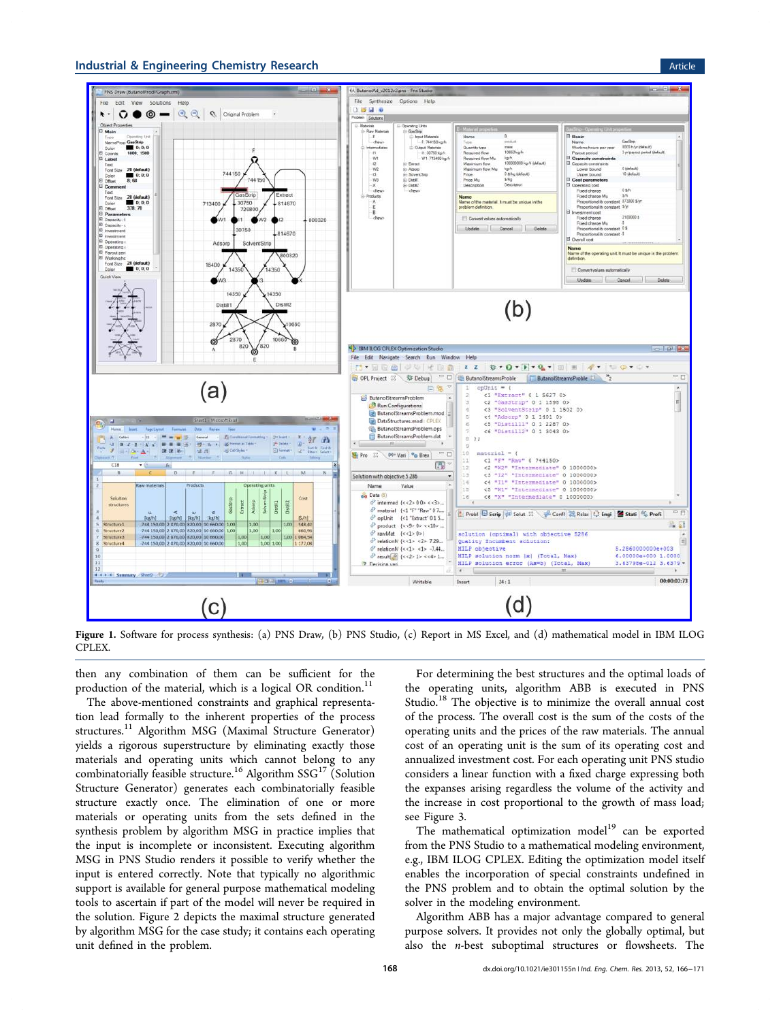<span id="page-2-0"></span>

Figure 1. [Software for process synthesis: \(a\) PNS Draw, \(b\) PNS Studio, \(c\) Report in MS Excel, and \(d\) mathematical model in IBM IL](http://pubs.acs.org/action/showImage?doi=10.1021/ie301155n&iName=master.img-000.jpg&w=478&h=426)OG CPLEX.

then any combination of them can be sufficient for the production of the material, which is a logical OR condition.<sup>11</sup>

The above-mentioned constraints and graphical representation lead formally to the inherent properties of the proc[ess](#page-4-0) structures.<sup>11</sup> Algorithm MSG (Maximal Structure Generator) yields a rigorous superstructure by eliminating exactly those materials [an](#page-4-0)d operating units which cannot belong to any combinatorially feasible structure.<sup>16</sup> Algorithm  $SSG<sup>17</sup>$  (Solution Structure Generator) generates each combinatorially feasible structure exactly once. The e[lim](#page-4-0)ination of o[ne](#page-5-0) or more materials or operating units from the sets defined in the synthesis problem by algorithm MSG in practice implies that the input is incomplete or inconsistent. Executing algorithm MSG in PNS Studio renders it possible to verify whether the input is entered correctly. Note that typically no algorithmic support is available for general purpose mathematical modeling tools to ascertain if part of the model will never be required in the solution. Figure 2 depicts the maximal structure generated by algorithm MSG for the case study; it contains each operating unit defined in the [pr](#page-3-0)oblem.

For determining the best structures and the optimal loads of the operating units, algorithm ABB is executed in PNS Studio.<sup>18</sup> The objective is to minimize the overall annual cost of the process. The overall cost is the sum of the costs of the operati[ng](#page-5-0) units and the prices of the raw materials. The annual cost of an operating unit is the sum of its operating cost and annualized investment cost. For each operating unit PNS studio considers a linear function with a fixed charge expressing both the expanses arising regardless the volume of the activity and the increase in cost proportional to the growth of mass load; see Figure 3.

The mathematical optimization model<sup>19</sup> can be exported from the P[N](#page-3-0)S Studio to a mathematical modeling environment, e.g., IBM ILOG CPLEX. Editing the opti[miz](#page-5-0)ation model itself enables the incorporation of special constraints undefined in the PNS problem and to obtain the optimal solution by the solver in the modeling environment.

Algorithm ABB has a major advantage compared to general purpose solvers. It provides not only the globally optimal, but also the n-best suboptimal structures or flowsheets. The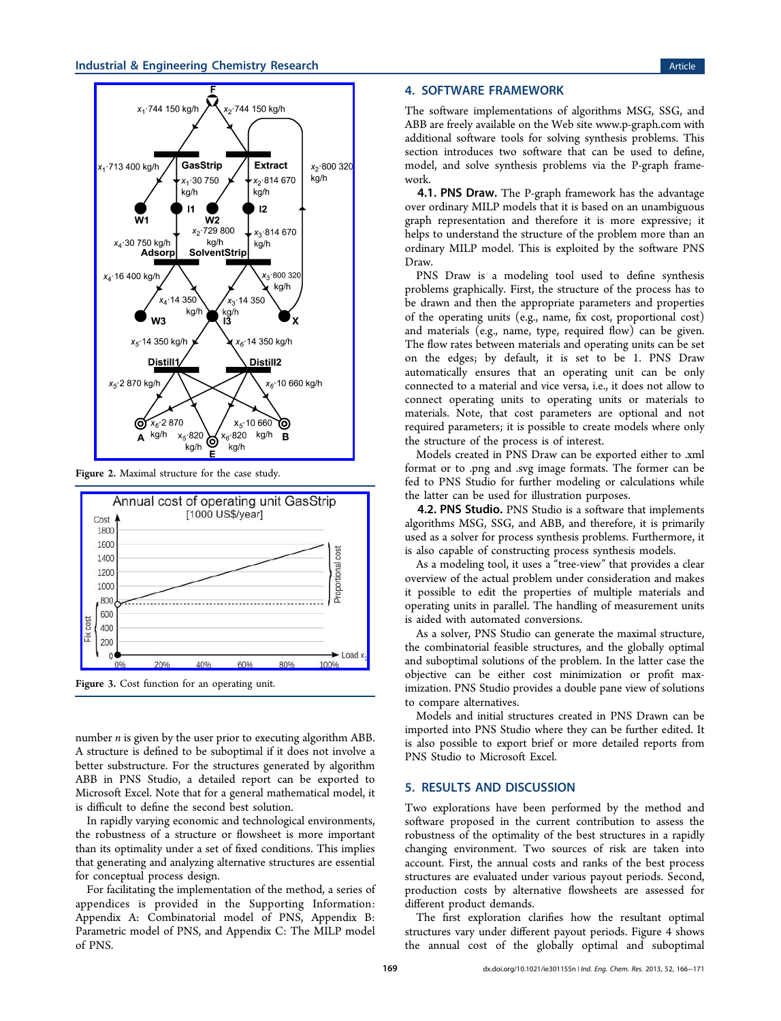<span id="page-3-0"></span>

Figure 2. [Maximal structure for the case study.](http://pubs.acs.org/action/showImage?doi=10.1021/ie301155n&iName=master.img-001.png&w=203&h=297)



Figure 3. [Cost function for an operating unit.](http://pubs.acs.org/action/showImage?doi=10.1021/ie301155n&iName=master.img-002.jpg&w=226&h=137)

number  $n$  is given by the user prior to executing algorithm ABB. A structure is defined to be suboptimal if it does not involve a better substructure. For the structures generated by algorithm ABB in PNS Studio, a detailed report can be exported to Microsoft Excel. Note that for a general mathematical model, it is difficult to define the second best solution.

In rapidly varying economic and technological environments, the robustness of a structure or flowsheet is more important than its optimality under a set of fixed conditions. This implies that generating and analyzing alternative structures are essential for conceptual process design.

For facilitating the implementation of the method, a series of appendices is provided in the Supporting Information: Appendix A: Combinatorial model of PNS, Appendix B: Parametric model of PNS, and App[endix C: The MILP mode](#page-4-0)l of PNS.

# 4. SOFTWARE FRAMEWORK

The software implementations of algorithms MSG, SSG, and ABB are freely available on the Web site www.p-graph.com with additional software tools for solving synthesis problems. This section introduces two software that [can be used to de](www.p-graph.com)fine, model, and solve synthesis problems via the P-graph framework.

4.1. PNS Draw. The P-graph framework has the advantage over ordinary MILP models that it is based on an unambiguous graph representation and therefore it is more expressive; it helps to understand the structure of the problem more than an ordinary MILP model. This is exploited by the software PNS Draw.

PNS Draw is a modeling tool used to define synthesis problems graphically. First, the structure of the process has to be drawn and then the appropriate parameters and properties of the operating units (e.g., name, fix cost, proportional cost) and materials (e.g., name, type, required flow) can be given. The flow rates between materials and operating units can be set on the edges; by default, it is set to be 1. PNS Draw automatically ensures that an operating unit can be only connected to a material and vice versa, i.e., it does not allow to connect operating units to operating units or materials to materials. Note, that cost parameters are optional and not required parameters; it is possible to create models where only the structure of the process is of interest.

Models created in PNS Draw can be exported either to .xml format or to .png and .svg image formats. The former can be fed to PNS Studio for further modeling or calculations while the latter can be used for illustration purposes.

**4.2. PNS Studio.** PNS Studio is a software that implements algorithms MSG, SSG, and ABB, and therefore, it is primarily used as a solver for process synthesis problems. Furthermore, it is also capable of constructing process synthesis models.

As a modeling tool, it uses a "tree-view" that provides a clear overview of the actual problem under consideration and makes it possible to edit the properties of multiple materials and operating units in parallel. The handling of measurement units is aided with automated conversions.

As a solver, PNS Studio can generate the maximal structure, the combinatorial feasible structures, and the globally optimal and suboptimal solutions of the problem. In the latter case the objective can be either cost minimization or profit maximization. PNS Studio provides a double pane view of solutions to compare alternatives.

Models and initial structures created in PNS Drawn can be imported into PNS Studio where they can be further edited. It is also possible to export brief or more detailed reports from PNS Studio to Microsoft Excel.

# 5. RESULTS AND DISCUSSION

Two explorations have been performed by the method and software proposed in the current contribution to assess the robustness of the optimality of the best structures in a rapidly changing environment. Two sources of risk are taken into account. First, the annual costs and ranks of the best process structures are evaluated under various payout periods. Second, production costs by alternative flowsheets are assessed for different product demands.

The first exploration clarifies how the resultant optimal structures vary under different payout periods. Figure 4 shows the annual cost of the globally optimal and suboptimal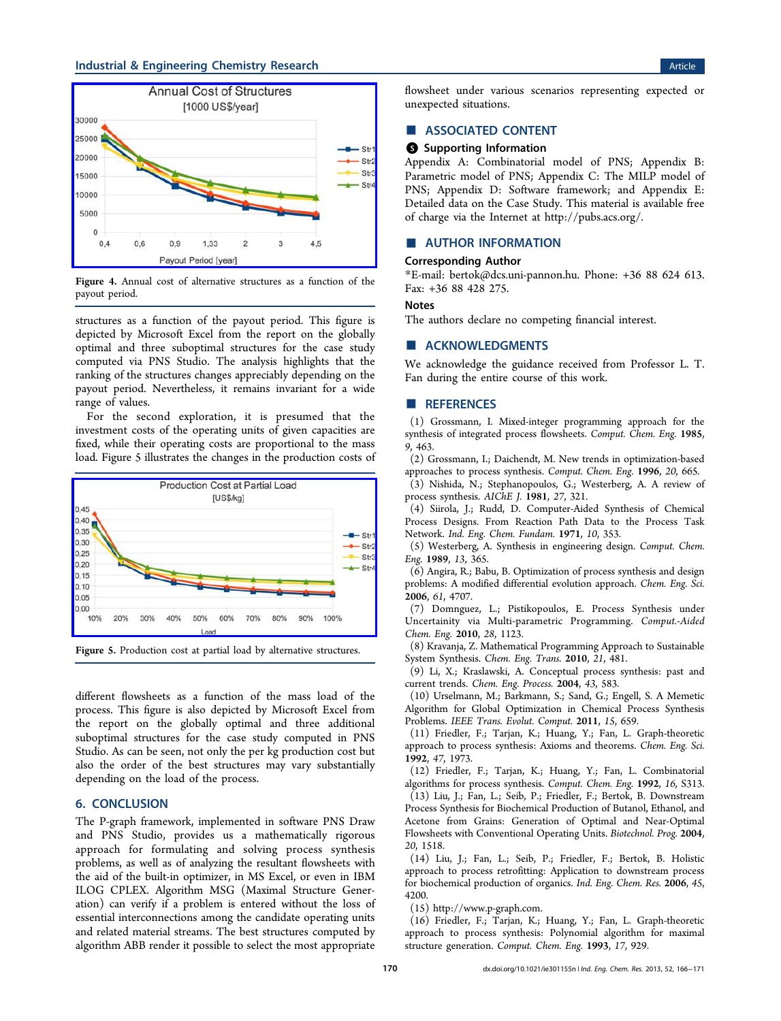<span id="page-4-0"></span>

Figure 4. [Annual cost of alternative structures as a function of the](http://pubs.acs.org/action/showImage?doi=10.1021/ie301155n&iName=master.img-003.jpg&w=239&h=143) payout period.

structures as a function of the payout period. This figure is depicted by Microsoft Excel from the report on the globally optimal and three suboptimal structures for the case study computed via PNS Studio. The analysis highlights that the ranking of the structures changes appreciably depending on the payout period. Nevertheless, it remains invariant for a wide range of values.

For the second exploration, it is presumed that the investment costs of the operating units of given capacities are fixed, while their operating costs are proportional to the mass load. Figure 5 illustrates the changes in the production costs of



Figure 5. [Production cost at partial load by alternative structures.](http://pubs.acs.org/action/showImage?doi=10.1021/ie301155n&iName=master.img-004.jpg&w=239&h=122)

different flowsheets as a function of the mass load of the process. This figure is also depicted by Microsoft Excel from the report on the globally optimal and three additional suboptimal structures for the case study computed in PNS Studio. As can be seen, not only the per kg production cost but also the order of the best structures may vary substantially depending on the load of the process.

## 6. CONCLUSION

The P-graph framework, implemented in software PNS Draw and PNS Studio, provides us a mathematically rigorous approach for formulating and solving process synthesis problems, as well as of analyzing the resultant flowsheets with the aid of the built-in optimizer, in MS Excel, or even in IBM ILOG CPLEX. Algorithm MSG (Maximal Structure Generation) can verify if a problem is entered without the loss of essential interconnections among the candidate operating units and related material streams. The best structures computed by algorithm ABB render it possible to select the most appropriate

flowsheet under various scenarios representing expected or unexpected situations.

## ■ ASSOCIATED CONTENT

## **6** Supporting Information

Appendix A: Combinatorial model of PNS; Appendix B: Parametric model of PNS; Appendix C: The MILP model of PNS; Appendix D: Software framework; and Appendix E: Detailed data on the Case Study. This material is available free of charge via the Internet at http://pubs.acs.org/.

#### ■ AUTHOR INFORMATI[ON](http://pubs.acs.org/)

#### Corresponding Author

\*E-mail: bertok@dcs.uni-pannon.hu. Phone: +36 88 624 613. Fax: +36 88 428 275.

### Notes

The auth[ors](mailto:bertok@dcs.uni-pannon.hu) [declare](mailto:bertok@dcs.uni-pannon.hu) [no](mailto:bertok@dcs.uni-pannon.hu) [competing](mailto:bertok@dcs.uni-pannon.hu) financial interest.

## ■ ACKNOWLEDGMENTS

We acknowledge the guidance received from Professor L. T. Fan during the entire course of this work.

#### ■ REFERENCES

(1) Grossmann, I. Mixed-integer programming approach for the synthesis of integrated process flowsheets. Comput. Chem. Eng. 1985, 9, 463.

(2) Grossmann, I.; Daichendt, M. New trends in optimization-based approaches to process synthesis. Comput. Chem. Eng. 1996, 20, 665.

(3) Nishida, N.; Stephanopoulos, G.; Westerberg, A. A review of process synthesis. AIChE J. 1981, 27, 321.

(4) Siirola, J.; Rudd, D. Computer-Aided Synthesis of Chemical Process Designs. From Reaction Path Data to the Process Task Network. Ind. Eng. Chem. Fundam. 1971, 10, 353.

(5) Westerberg, A. Synthesis in engineering design. Comput. Chem. Eng. 1989, 13, 365.

(6) Angira, R.; Babu, B. Optimization of process synthesis and design problems: A modified differential evolution approach. Chem. Eng. Sci. 2006, 61, 4707.

(7) Domnguez, L.; Pistikopoulos, E. Process Synthesis under Uncertainity via Multi-parametric Programming. Comput.-Aided Chem. Eng. 2010, 28, 1123.

(8) Kravanja, Z. Mathematical Programming Approach to Sustainable System Synthesis. Chem. Eng. Trans. 2010, 21, 481.

(9) Li, X.; Kraslawski, A. Conceptual process synthesis: past and current trends. Chem. Eng. Process. 2004, 43, 583.

(10) Urselmann, M.; Barkmann, S.; Sand, G.; Engell, S. A Memetic Algorithm for Global Optimization in Chemical Process Synthesis Problems. IEEE Trans. Evolut. Comput. 2011, 15, 659.

(11) Friedler, F.; Tarjan, K.; Huang, Y.; Fan, L. Graph-theoretic approach to process synthesis: Axioms and theorems. Chem. Eng. Sci. 1992, 47, 1973.

(12) Friedler, F.; Tarjan, K.; Huang, Y.; Fan, L. Combinatorial algorithms for process synthesis. Comput. Chem. Eng. 1992, 16, S313.

(13) Liu, J.; Fan, L.; Seib, P.; Friedler, F.; Bertok, B. Downstream Process Synthesis for Biochemical Production of Butanol, Ethanol, and Acetone from Grains: Generation of Optimal and Near-Optimal Flowsheets with Conventional Operating Units. Biotechnol. Prog. 2004, 20, 1518.

(14) Liu, J.; Fan, L.; Seib, P.; Friedler, F.; Bertok, B. Holistic approach to process retrofitting: Application to downstream process for biochemical production of organics. Ind. Eng. Chem. Res. 2006, 45, 4200.

(15) http://www.p-graph.com.

(16) Friedler, F.; Tarjan, K.; Huang, Y.; Fan, L. Graph-theoretic approach to process synthesis: Polynomial algorithm for maximal struct[ure generation.](http://www.p-graph.com) Comput. Chem. Eng. 1993, 17, 929.